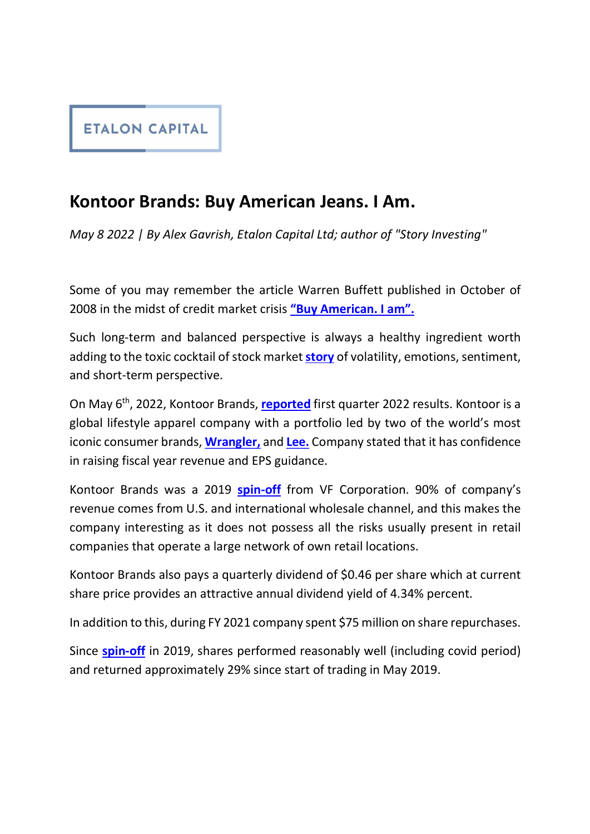

## Kontoor Brands: Buy American Jeans. I Am.

May 8 2022 | By Alex Gavrish, Etalon Capital Ltd; author of "Story Investing"<br>Some of you may remember the article Warren Buffett published in October of 2008 in the midst of credit market crisis "Buy American. I am".

Such long-term and balanced perspective is always a healthy ingredient worth adding to the toxic cocktail of stock market **story** of volatility, emotions, sentiment, and short-term perspective.

On May 6<sup>th</sup>, 2022, Kontoor Brands, reported first quarter 2022 results. Kontoor is a global lifestyle apparel company with a portfolio led by two of the world's most iconic consumer brands, **Wrangler**, and Lee. Company stated that it has confidence in raising fiscal year revenue and EPS guidance.

Kontoor Brands was a 2019 **spin-off** from VF Corporation. 90% of company's revenue comes from U.S. and international wholesale channel, and this makes the company interesting as it does not possess all the risks usually present in retail companies that operate a large network of own retail locations.

Kontoor Brands also pays a quarterly dividend of \$0.46 per share which at current share price provides an attractive annual dividend yield of 4.34% percent.

In addition to this, during FY 2021 company spent \$75 million on share repurchases.

Since spin-off in 2019, shares performed reasonably well (including covid period) and returned approximately 29% since start of trading in May 2019.